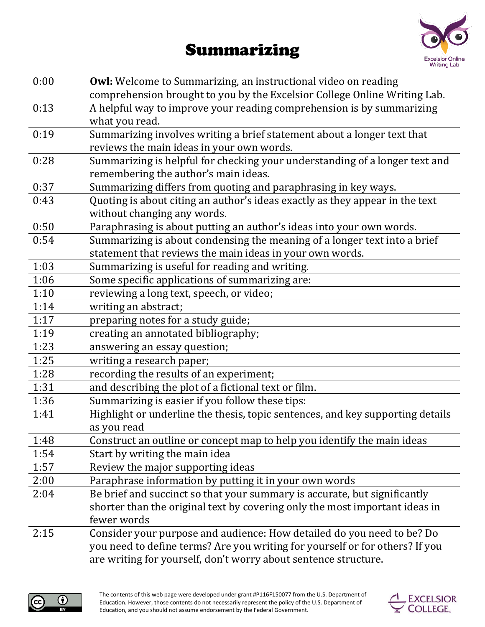## Summarizing



| 0:00 | <b>Owl:</b> Welcome to Summarizing, an instructional video on reading<br>comprehension brought to you by the Excelsior College Online Writing Lab. |
|------|----------------------------------------------------------------------------------------------------------------------------------------------------|
| 0:13 | A helpful way to improve your reading comprehension is by summarizing<br>what you read.                                                            |
| 0:19 | Summarizing involves writing a brief statement about a longer text that<br>reviews the main ideas in your own words.                               |
| 0:28 | Summarizing is helpful for checking your understanding of a longer text and<br>remembering the author's main ideas.                                |
| 0:37 | Summarizing differs from quoting and paraphrasing in key ways.                                                                                     |
| 0:43 | Quoting is about citing an author's ideas exactly as they appear in the text<br>without changing any words.                                        |
| 0:50 | Paraphrasing is about putting an author's ideas into your own words.                                                                               |
| 0:54 | Summarizing is about condensing the meaning of a longer text into a brief<br>statement that reviews the main ideas in your own words.              |
| 1:03 | Summarizing is useful for reading and writing.                                                                                                     |
| 1:06 | Some specific applications of summarizing are:                                                                                                     |
| 1:10 | reviewing a long text, speech, or video;                                                                                                           |
| 1:14 | writing an abstract;                                                                                                                               |
| 1:17 | preparing notes for a study guide;                                                                                                                 |
| 1:19 | creating an annotated bibliography;                                                                                                                |
| 1:23 | answering an essay question;                                                                                                                       |
| 1:25 | writing a research paper;                                                                                                                          |
| 1:28 | recording the results of an experiment;                                                                                                            |
| 1:31 | and describing the plot of a fictional text or film.                                                                                               |
| 1:36 | Summarizing is easier if you follow these tips:                                                                                                    |
| 1:41 | Highlight or underline the thesis, topic sentences, and key supporting details<br>as you read                                                      |
| 1:48 | Construct an outline or concept map to help you identify the main ideas                                                                            |
| 1:54 | Start by writing the main idea                                                                                                                     |
| 1:57 | Review the major supporting ideas                                                                                                                  |
| 2:00 | Paraphrase information by putting it in your own words                                                                                             |
| 2:04 | Be brief and succinct so that your summary is accurate, but significantly                                                                          |
|      | shorter than the original text by covering only the most important ideas in                                                                        |
|      | fewer words                                                                                                                                        |
| 2:15 | Consider your purpose and audience: How detailed do you need to be? Do                                                                             |
|      | you need to define terms? Are you writing for yourself or for others? If you                                                                       |
|      | are writing for yourself, don't worry about sentence structure.                                                                                    |



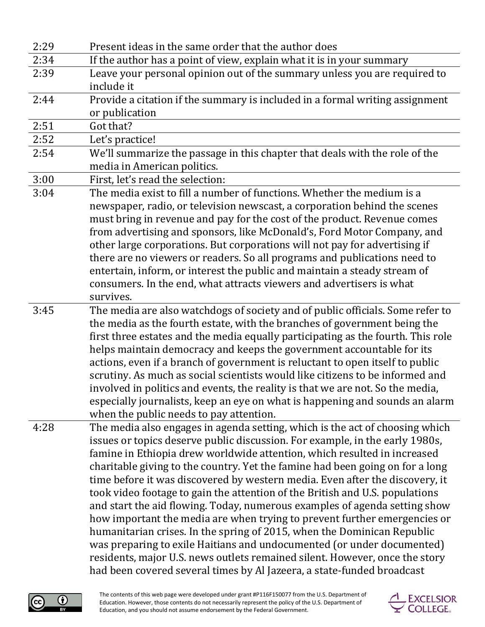| 2:29 | Present ideas in the same order that the author does                             |
|------|----------------------------------------------------------------------------------|
| 2:34 | If the author has a point of view, explain what it is in your summary            |
| 2:39 | Leave your personal opinion out of the summary unless you are required to        |
|      | include it                                                                       |
| 2:44 | Provide a citation if the summary is included in a formal writing assignment     |
|      | or publication                                                                   |
| 2:51 | Got that?                                                                        |
| 2:52 | Let's practice!                                                                  |
| 2:54 | We'll summarize the passage in this chapter that deals with the role of the      |
|      | media in American politics.                                                      |
| 3:00 | First, let's read the selection:                                                 |
| 3:04 | The media exist to fill a number of functions. Whether the medium is a           |
|      | newspaper, radio, or television newscast, a corporation behind the scenes        |
|      | must bring in revenue and pay for the cost of the product. Revenue comes         |
|      | from advertising and sponsors, like McDonald's, Ford Motor Company, and          |
|      | other large corporations. But corporations will not pay for advertising if       |
|      | there are no viewers or readers. So all programs and publications need to        |
|      | entertain, inform, or interest the public and maintain a steady stream of        |
|      | consumers. In the end, what attracts viewers and advertisers is what             |
|      | survives.                                                                        |
| 3:45 | The media are also watchdogs of society and of public officials. Some refer to   |
|      | the media as the fourth estate, with the branches of government being the        |
|      | first three estates and the media equally participating as the fourth. This role |
|      | helps maintain democracy and keeps the government accountable for its            |
|      | actions, even if a branch of government is reluctant to open itself to public    |
|      | scrutiny. As much as social scientists would like citizens to be informed and    |
|      | involved in politics and events, the reality is that we are not. So the media,   |
|      | especially journalists, keep an eye on what is happening and sounds an alarm     |
|      | when the public needs to pay attention.                                          |
| 4:28 | The media also engages in agenda setting, which is the act of choosing which     |
|      | issues or topics deserve public discussion. For example, in the early 1980s,     |
|      | famine in Ethiopia drew worldwide attention, which resulted in increased         |
|      | charitable giving to the country. Yet the famine had been going on for a long    |
|      | time before it was discovered by western media. Even after the discovery, it     |
|      | took video footage to gain the attention of the British and U.S. populations     |
|      | and start the aid flowing. Today, numerous examples of agenda setting show       |
|      | how important the media are when trying to prevent further emergencies or        |
|      | humanitarian crises. In the spring of 2015, when the Dominican Republic          |
|      | was preparing to exile Haitians and undocumented (or under documented)           |
|      | residents, major U.S. news outlets remained silent. However, once the story      |
|      | had been covered several times by Al Jazeera, a state-funded broadcast           |